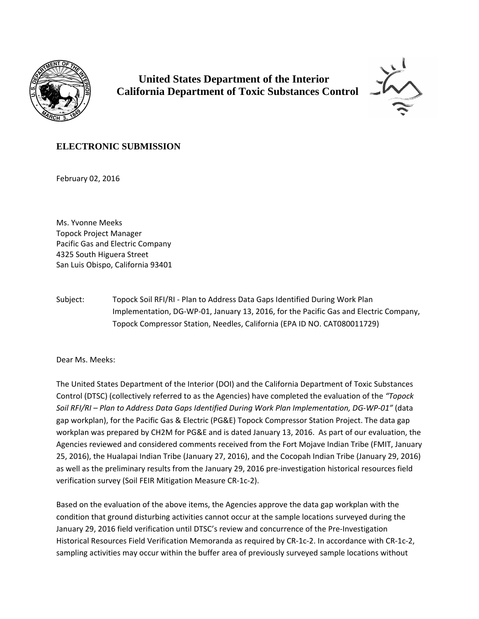

 **United States Department of the Interior California Department of Toxic Substances Control**



## **ELECTRONIC SUBMISSION**

February 02, 2016

Ms. Yvonne Meeks Topock Project Manager Pacific Gas and Electric Company 4325 South Higuera Street San Luis Obispo, California 93401

Subject: Topock Soil RFI/RI ‐ Plan to Address Data Gaps Identified During Work Plan Implementation, DG‐WP‐01, January 13, 2016, for the Pacific Gas and Electric Company, Topock Compressor Station, Needles, California (EPA ID NO. CAT080011729)

Dear Ms. Meeks:

The United States Department of the Interior (DOI) and the California Department of Toxic Substances Control (DTSC) (collectively referred to as the Agencies) have completed the evaluation of the *"Topock* Soil RFI/RI - Plan to Address Data Gaps Identified During Work Plan Implementation, DG-WP-01" (data gap workplan), for the Pacific Gas & Electric (PG&E) Topock Compressor Station Project. The data gap workplan was prepared by CH2M for PG&E and is dated January 13, 2016. As part of our evaluation, the Agencies reviewed and considered comments received from the Fort Mojave Indian Tribe (FMIT, January 25, 2016), the Hualapai Indian Tribe (January 27, 2016), and the Cocopah Indian Tribe (January 29, 2016) as well as the preliminary results from the January 29, 2016 pre‐investigation historical resources field verification survey (Soil FEIR Mitigation Measure CR‐1c‐2).

Based on the evaluation of the above items, the Agencies approve the data gap workplan with the condition that ground disturbing activities cannot occur at the sample locations surveyed during the January 29, 2016 field verification until DTSC's review and concurrence of the Pre-Investigation Historical Resources Field Verification Memoranda as required by CR‐1c‐2. In accordance with CR‐1c‐2, sampling activities may occur within the buffer area of previously surveyed sample locations without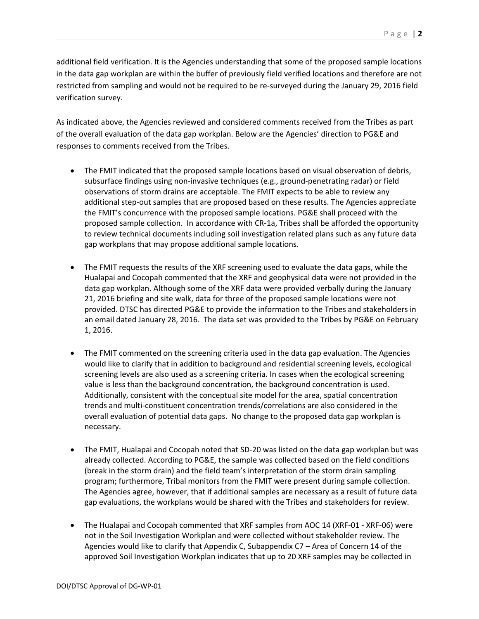additional field verification. It is the Agencies understanding that some of the proposed sample locations in the data gap workplan are within the buffer of previously field verified locations and therefore are not restricted from sampling and would not be required to be re-surveyed during the January 29, 2016 field verification survey.

As indicated above, the Agencies reviewed and considered comments received from the Tribes as part of the overall evaluation of the data gap workplan. Below are the Agencies' direction to PG&E and responses to comments received from the Tribes.

- The FMIT indicated that the proposed sample locations based on visual observation of debris, subsurface findings using non‐invasive techniques (e.g., ground‐penetrating radar) or field observations of storm drains are acceptable. The FMIT expects to be able to review any additional step‐out samples that are proposed based on these results. The Agencies appreciate the FMIT's concurrence with the proposed sample locations. PG&E shall proceed with the proposed sample collection. In accordance with CR‐1a, Tribes shall be afforded the opportunity to review technical documents including soil investigation related plans such as any future data gap workplans that may propose additional sample locations.
- The FMIT requests the results of the XRF screening used to evaluate the data gaps, while the Hualapai and Cocopah commented that the XRF and geophysical data were not provided in the data gap workplan. Although some of the XRF data were provided verbally during the January 21, 2016 briefing and site walk, data for three of the proposed sample locations were not provided. DTSC has directed PG&E to provide the information to the Tribes and stakeholders in an email dated January 28, 2016. The data set was provided to the Tribes by PG&E on February 1, 2016.
- The FMIT commented on the screening criteria used in the data gap evaluation. The Agencies would like to clarify that in addition to background and residential screening levels, ecological screening levels are also used as a screening criteria. In cases when the ecological screening value is less than the background concentration, the background concentration is used. Additionally, consistent with the conceptual site model for the area, spatial concentration trends and multi‐constituent concentration trends/correlations are also considered in the overall evaluation of potential data gaps. No change to the proposed data gap workplan is necessary.
- The FMIT, Hualapai and Cocopah noted that SD‐20 was listed on the data gap workplan but was already collected. According to PG&E, the sample was collected based on the field conditions (break in the storm drain) and the field team's interpretation of the storm drain sampling program; furthermore, Tribal monitors from the FMIT were present during sample collection. The Agencies agree, however, that if additional samples are necessary as a result of future data gap evaluations, the workplans would be shared with the Tribes and stakeholders for review.
- The Hualapai and Cocopah commented that XRF samples from AOC 14 (XRF‐01 ‐ XRF‐06) were not in the Soil Investigation Workplan and were collected without stakeholder review. The Agencies would like to clarify that Appendix C, Subappendix C7 – Area of Concern 14 of the approved Soil Investigation Workplan indicates that up to 20 XRF samples may be collected in